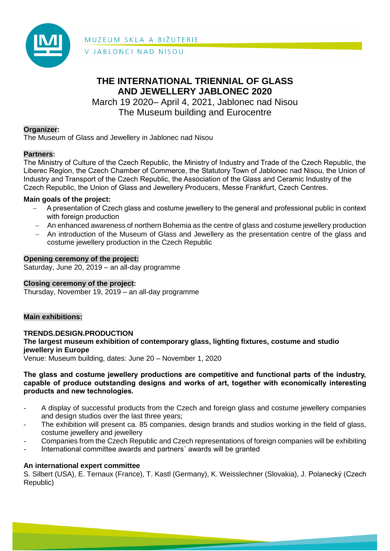

MUZEUM SKLA A BIŽUTERIE V JABLONCI NAD NISOU

# **THE INTERNATIONAL TRIENNIAL OF GLASS AND JEWELLERY JABLONEC 2020**

March 19 2020– April 4, 2021, Jablonec nad Nisou The Museum building and Eurocentre

# **Organizer:**

The Museum of Glass and Jewellery in Jablonec nad Nisou

# **Partners:**

The Ministry of Culture of the Czech Republic, the Ministry of Industry and Trade of the Czech Republic, the Liberec Region, the Czech Chamber of Commerce, the Statutory Town of Jablonec nad Nisou, the Union of Industry and Transport of the Czech Republic, the Association of the Glass and Ceramic Industry of the Czech Republic, the Union of Glass and Jewellery Producers, Messe Frankfurt, Czech Centres.

# **Main goals of the project:**

- A presentation of Czech glass and costume jewellery to the general and professional public in context with foreign production
- An enhanced awareness of northern Bohemia as the centre of glass and costume jewellery production
- An introduction of the Museum of Glass and Jewellery as the presentation centre of the glass and costume jewellery production in the Czech Republic

## **Opening ceremony of the project:**

Saturday, June 20, 2019 – an all-day programme

## **Closing ceremony of the project:**

Thursday, November 19, 2019 – an all-day programme

## **Main exhibitions:**

**TRENDS.DESIGN.PRODUCTION The largest museum exhibition of contemporary glass, lighting fixtures, costume and studio jewellery in Europe**

Venue: Museum building, dates: June 20 – November 1, 2020

#### **The glass and costume jewellery productions are competitive and functional parts of the industry, capable of produce outstanding designs and works of art, together with economically interesting products and new technologies.**

- A display of successful products from the Czech and foreign glass and costume jewellery companies and design studios over the last three years;
- The exhibition will present ca. 85 companies, design brands and studios working in the field of glass, costume jewellery and jewellery
- Companies from the Czech Republic and Czech representations of foreign companies will be exhibiting
- International committee awards and partners' awards will be granted

## **An international expert committee**

S. Silbert (USA), E. Ternaux (France), T. Kastl (Germany), K. Weisslechner (Slovakia), J. Polanecký (Czech Republic)